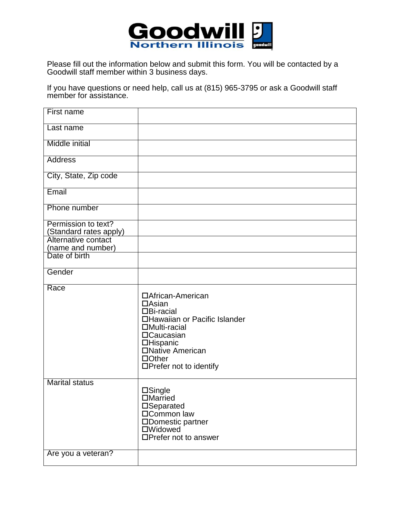

Please fill out the information below and submit this form. You will be contacted by a Goodwill staff member within 3 business days.

If you have questions or need help, call us at (815) 965-3795 or ask a Goodwill staff member for assistance.

| First name                                    |                                                                                                                                                                                                          |
|-----------------------------------------------|----------------------------------------------------------------------------------------------------------------------------------------------------------------------------------------------------------|
| Last name                                     |                                                                                                                                                                                                          |
| <b>Middle initial</b>                         |                                                                                                                                                                                                          |
| <b>Address</b>                                |                                                                                                                                                                                                          |
| City, State, Zip code                         |                                                                                                                                                                                                          |
| Email                                         |                                                                                                                                                                                                          |
| Phone number                                  |                                                                                                                                                                                                          |
| Permission to text?<br>(Standard rates apply) |                                                                                                                                                                                                          |
| Alternative contact<br>(name and number)      |                                                                                                                                                                                                          |
| Date of birth                                 |                                                                                                                                                                                                          |
| Gender                                        |                                                                                                                                                                                                          |
| Race                                          | □African-American<br>$\Box$ Asian<br>$\Box$ Bi-racial<br>□Hawaiian or Pacific Islander<br>□Multi-racial<br>□Caucasian<br><b>OHispanic</b><br>□Native American<br>$\Box$ Other<br>□Prefer not to identify |
| <b>Marital status</b><br>Are you a veteran?   | $\square$ Single<br><b>DMarried</b><br>□Separated<br>□Common law<br>□Domestic partner<br>□Widowed<br>□Prefer not to answer                                                                               |
|                                               |                                                                                                                                                                                                          |